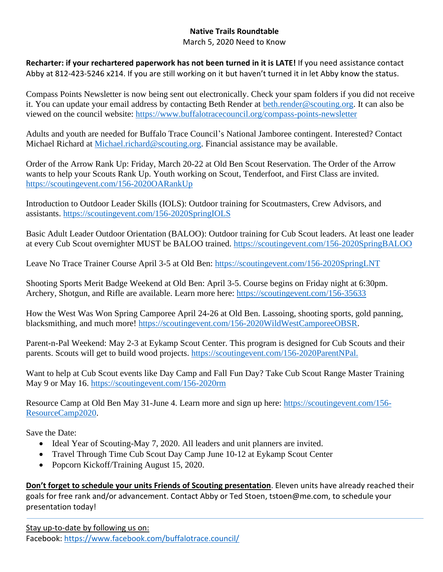## **Native Trails Roundtable**

March 5, 2020 Need to Know

**Recharter: if your rechartered paperwork has not been turned in it is LATE!** If you need assistance contact Abby at 812-423-5246 x214. If you are still working on it but haven't turned it in let Abby know the status.

Compass Points Newsletter is now being sent out electronically. Check your spam folders if you did not receive it. You can update your email address by contacting Beth Render at [beth.render@scouting.org.](mailto:beth.render@scouting.org) It can also be viewed on the council website: <https://www.buffalotracecouncil.org/compass-points-newsletter>

Adults and youth are needed for Buffalo Trace Council's National Jamboree contingent. Interested? Contact Michael Richard at [Michael.richard@scouting.org.](mailto:Michael.richard@scouting.org) Financial assistance may be available.

Order of the Arrow Rank Up: Friday, March 20-22 at Old Ben Scout Reservation. The Order of the Arrow wants to help your Scouts Rank Up. Youth working on Scout, Tenderfoot, and First Class are invited. <https://scoutingevent.com/156-2020OARankUp>

Introduction to Outdoor Leader Skills (IOLS): Outdoor training for Scoutmasters, Crew Advisors, and assistants.<https://scoutingevent.com/156-2020SpringIOLS>

Basic Adult Leader Outdoor Orientation (BALOO): Outdoor training for Cub Scout leaders. At least one leader at every Cub Scout overnighter MUST be BALOO trained.<https://scoutingevent.com/156-2020SpringBALOO>

Leave No Trace Trainer Course April 3-5 at Old Ben:<https://scoutingevent.com/156-2020SpringLNT>

Shooting Sports Merit Badge Weekend at Old Ben: April 3-5. Course begins on Friday night at 6:30pm. Archery, Shotgun, and Rifle are available. Learn more here:<https://scoutingevent.com/156-35633>

How the West Was Won Spring Camporee April 24-26 at Old Ben. Lassoing, shooting sports, gold panning, blacksmithing, and much more! [https://scoutingevent.com/156-2020WildWestCamporeeOBSR.](https://scoutingevent.com/156-2020WildWestCamporeeOBSR)

Parent-n-Pal Weekend: May 2-3 at Eykamp Scout Center. This program is designed for Cub Scouts and their parents. Scouts will get to build wood projects. [https://scoutingevent.com/156-2020ParentNPal.](https://scoutingevent.com/156-2020ParentNPal)

Want to help at Cub Scout events like Day Camp and Fall Fun Day? Take Cub Scout Range Master Training May 9 or May 16.<https://scoutingevent.com/156-2020rm>

Resource Camp at Old Ben May 31-June 4. Learn more and sign up here: [https://scoutingevent.com/156-](https://scoutingevent.com/156-ResourceCamp2020) [ResourceCamp2020.](https://scoutingevent.com/156-ResourceCamp2020)

Save the Date:

- Ideal Year of Scouting-May 7, 2020. All leaders and unit planners are invited.
- Travel Through Time Cub Scout Day Camp June 10-12 at Eykamp Scout Center
- Popcorn Kickoff/Training August 15, 2020.

**Don't forget to schedule your units Friends of Scouting presentation**. Eleven units have already reached their goals for free rank and/or advancement. Contact Abby or Ted Stoen, tstoen@me.com, to schedule your presentation today!